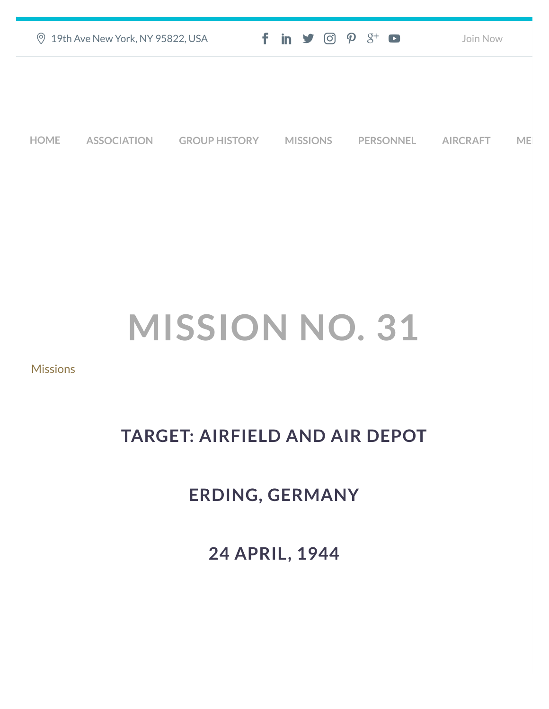|      | <b>9 19th Ave New York, NY 95822, USA</b> |                      | $f$ in $\blacktriangleright$ $\heartsuit$ $\varnothing$ $\varnothing$ $\dashv$ $\heartsuit$ |                  | Join Now        |    |
|------|-------------------------------------------|----------------------|---------------------------------------------------------------------------------------------|------------------|-----------------|----|
|      |                                           |                      |                                                                                             |                  |                 |    |
|      |                                           |                      |                                                                                             |                  |                 |    |
| HOME | <b>ASSOCIATION</b>                        | <b>GROUP HISTORY</b> | <b>MISSIONS</b>                                                                             | <b>PERSONNEL</b> | <b>AIRCRAFT</b> | ME |

## **MISSION NO. 31**

## **[Missions](https://457thbombgroupassoc.org/category/missions/)**

## **TARGET: AIRFIELD AND AIR DEPOT**

## **ERDING, GERMANY**

**24 APRIL, 1944**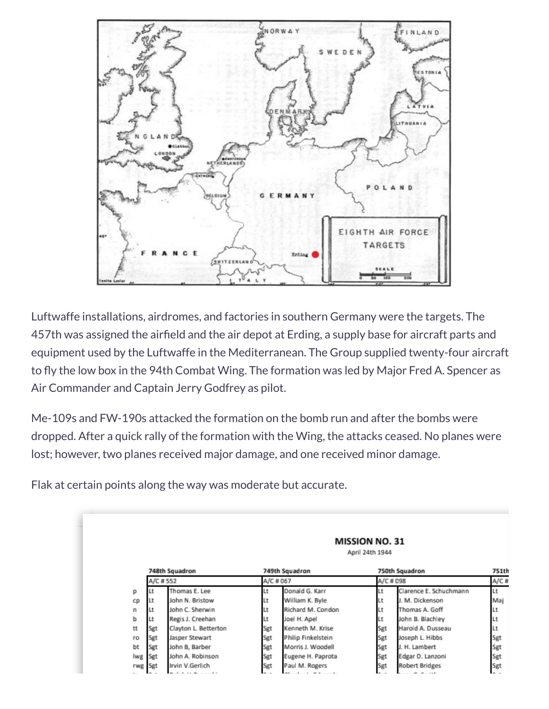

Luftwaffe installations, airdromes, and factories in southern Germany were the targets. The 457th was assigned the airfield and the air depot at Erding, a supply base for aircraft parts and equipment used by the Luftwaffe in the Mediterranean. The Group supplied twenty-four aircraft to fly the low box in the 94th Combat Wing. The formation was led by Major Fred A. Spencer as Air Commander and Captain Jerry Godfrey as pilot.

Me-109s and FW-190s attacked the formation on the bomb run and after the bombs were dropped. After a quick rally of the formation with the Wing, the attacks ceased. No planes were lost; however, two planes received major damage, and one received minor damage.

Flak at certain points along the way was moderate but accurate.

|     |          |                      |           |                    | <b>MISSION NO. 31</b><br>April 24th 1944 |                        |       |
|-----|----------|----------------------|-----------|--------------------|------------------------------------------|------------------------|-------|
|     |          | 748th Squadron       |           | 749th Squadron     |                                          | 750th Squadron         | 751th |
|     | A/C #552 |                      | A/C # 067 |                    | A/C # 098                                |                        | A/C#  |
| р   | Lt       | Thomas E. Lee        | Lt        | Donald G. Karr     | Lt                                       | Clarence E. Schuchmann | Lt    |
| cp  | Lt       | John N. Bristow      | ΙLt       | William K. Byle    | Lt                                       | J. M. Dickenson        | Maj   |
| n   | Lt       | John C. Sherwin      | Lt        | Richard M. Condon  | Lt                                       | Thomas A. Goff         | Lt    |
| p   | Lt       | Regis J. Creehan     | Lt        | Joel H. Apel       | Lt                                       | John B. Blachley       | Lt    |
| tt  | Sgt      | Clayton L. Betterton | Sgt       | Kenneth M. Krise   | Sgt                                      | Harold A. Dusseau      | Lt    |
| ro  | Sgt      | Jasper Stewart       | Sgt       | Philip Finkelstein | Sgt                                      | Joseph L. Hibbs        | Sgt   |
| bt  | Sgt      | John B, Barber       | Sgt       | Morris J. Woodell  | Sgt                                      | J. H. Lambert          | Sgt   |
| lwg | Sgt      | John A. Robinson     | Sgt       | Eugene H. Paprota  | Sgt                                      | Edgar D. Lanzoni       | Sgt   |
| rwg | Sgt      | Irvin V.Gerlich      | Sgt       | Paul M. Rogers     | Sgt                                      | <b>Robert Bridges</b>  | Sgt   |
|     |          | $\alpha$<br>a a      |           |                    |                                          | $\sim$ 100             |       |